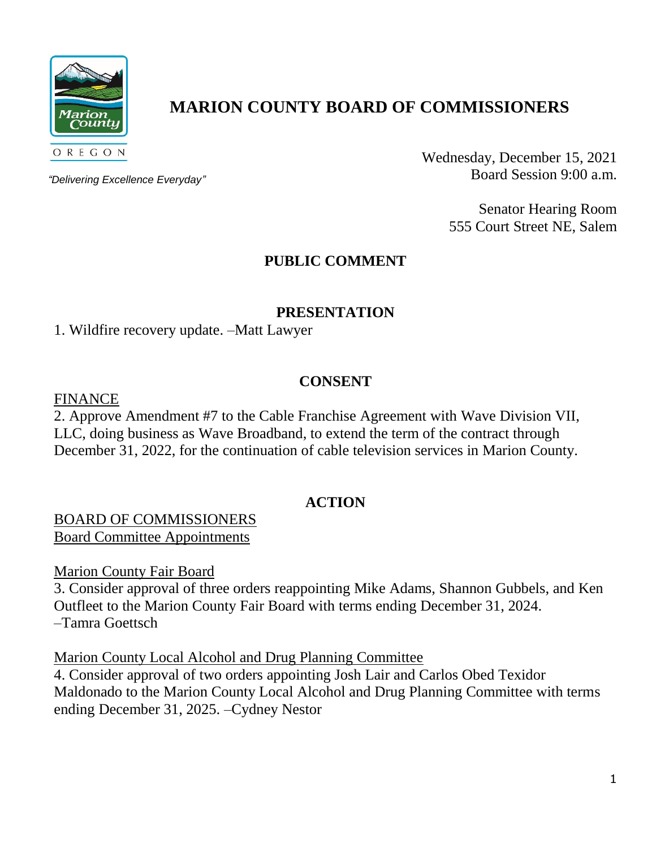

# **MARION COUNTY BOARD OF COMMISSIONERS**

*"Delivering Excellence Everyday"*

Wednesday, December 15, 2021 Board Session 9:00 a.m.

> Senator Hearing Room 555 Court Street NE, Salem

## **PUBLIC COMMENT**

#### **PRESENTATION**

1. Wildfire recovery update. –Matt Lawyer

#### **CONSENT**

FINANCE

2. Approve Amendment #7 to the Cable Franchise Agreement with Wave Division VII, LLC, doing business as Wave Broadband, to extend the term of the contract through December 31, 2022, for the continuation of cable television services in Marion County.

#### **ACTION**

BOARD OF COMMISSIONERS Board Committee Appointments

Marion County Fair Board

3. Consider approval of three orders reappointing Mike Adams, Shannon Gubbels, and Ken Outfleet to the Marion County Fair Board with terms ending December 31, 2024. –Tamra Goettsch

Marion County Local Alcohol and Drug Planning Committee

4. Consider approval of two orders appointing Josh Lair and Carlos Obed Texidor Maldonado to the Marion County Local Alcohol and Drug Planning Committee with terms ending December 31, 2025. –Cydney Nestor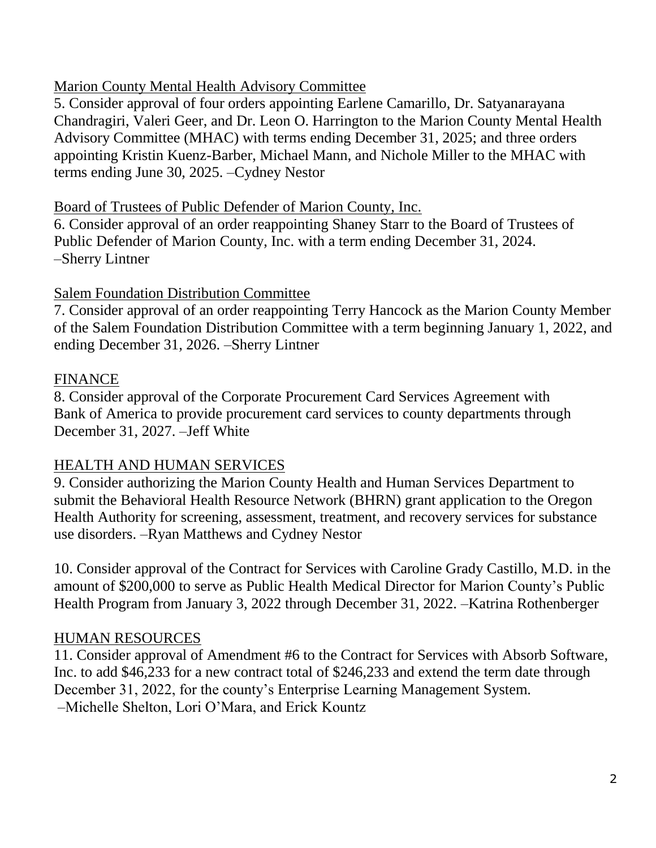## Marion County Mental Health Advisory Committee

5. Consider approval of four orders appointing Earlene Camarillo, Dr. Satyanarayana Chandragiri, Valeri Geer, and Dr. Leon O. Harrington to the Marion County Mental Health Advisory Committee (MHAC) with terms ending December 31, 2025; and three orders appointing Kristin Kuenz-Barber, Michael Mann, and Nichole Miller to the MHAC with terms ending June 30, 2025. –Cydney Nestor

#### Board of Trustees of Public Defender of Marion County, Inc.

6. Consider approval of an order reappointing Shaney Starr to the Board of Trustees of Public Defender of Marion County, Inc. with a term ending December 31, 2024. –Sherry Lintner

#### Salem Foundation Distribution Committee

7. Consider approval of an order reappointing Terry Hancock as the Marion County Member of the Salem Foundation Distribution Committee with a term beginning January 1, 2022, and ending December 31, 2026. –Sherry Lintner

## FINANCE

8. Consider approval of the Corporate Procurement Card Services Agreement with Bank of America to provide procurement card services to county departments through December 31, 2027. –Jeff White

#### HEALTH AND HUMAN SERVICES

9. Consider authorizing the Marion County Health and Human Services Department to submit the Behavioral Health Resource Network (BHRN) grant application to the Oregon Health Authority for screening, assessment, treatment, and recovery services for substance use disorders. –Ryan Matthews and Cydney Nestor

10. Consider approval of the Contract for Services with Caroline Grady Castillo, M.D. in the amount of \$200,000 to serve as Public Health Medical Director for Marion County's Public Health Program from January 3, 2022 through December 31, 2022. –Katrina Rothenberger

## HUMAN RESOURCES

11. Consider approval of Amendment #6 to the Contract for Services with Absorb Software, Inc. to add \$46,233 for a new contract total of \$246,233 and extend the term date through December 31, 2022, for the county's Enterprise Learning Management System. –Michelle Shelton, Lori O'Mara, and Erick Kountz